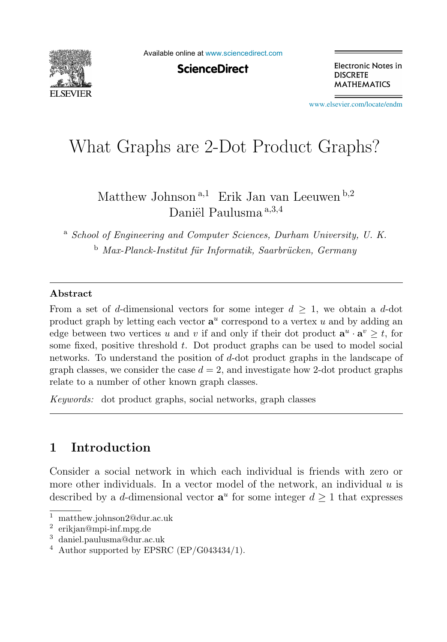

Available online at [www.sciencedirect.com](http://www.sciencedirect.com)

**ScienceDirect** 

Electronic Notes in **DISCRETE MATHEMATICS** 

[www.elsevier.com/locate/endm](http://www.elsevier.com/locate/endm)

# What Graphs are 2-Dot Product Graphs?

Matthew Johnson<sup>a,1</sup> Erik Jan van Leeuwen<sup>b,2</sup> Daniël Paulusma a, 3,4

<sup>a</sup> *School of Engineering and Computer Sciences, Durham University, U. K.* <sup>b</sup> *Max-Planck-Institut f¨ur Informatik, Saarbr¨ucken, Germany*

## **Abstract**

From a set of d-dimensional vectors for some integer  $d > 1$ , we obtain a d-dot product graph by letting each vector  $\mathbf{a}^u$  correspond to a vertex u and by adding an edge between two vertices u and v if and only if their dot product  $\mathbf{a}^u \cdot \mathbf{a}^v \geq t$ , for some fixed, positive threshold  $t$ . Dot product graphs can be used to model social networks. To understand the position of d-dot product graphs in the landscape of graph classes, we consider the case  $d = 2$ , and investigate how 2-dot product graphs relate to a number of other known graph classes.

*Keywords:* dot product graphs, social networks, graph classes

# **1 Introduction**

Consider a social network in which each individual is friends with zero or more other individuals. In a vector model of the network, an individual  $u$  is described by a d-dimensional vector  $\mathbf{a}^u$  for some integer  $d \geq 1$  that expresses

<sup>1</sup> matthew.johnson2@dur.ac.uk

<sup>2</sup> erikjan@mpi-inf.mpg.de

<sup>3</sup> daniel.paulusma@dur.ac.uk

 $4$  Author supported by EPSRC (EP/G043434/1).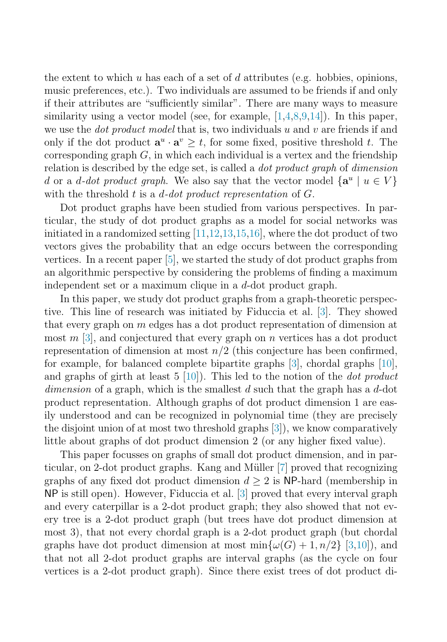the extent to which u has each of a set of d attributes (e.g. hobbies, opinions, music preferences, etc.). Two individuals are assumed to be friends if and only if their attributes are "sufficiently similar". There are many ways to measure similarity using a vector model (see, for example,  $[1,4,8,9,14]$  $[1,4,8,9,14]$ ). In this paper, we use the *dot product model* that is, two individuals u and v are friends if and only if the dot product  $\mathbf{a}^u \cdot \mathbf{a}^v \geq t$ , for some fixed, positive threshold t. The corresponding graph  $G$ , in which each individual is a vertex and the friendship relation is described by the edge set, is called a dot product graph of dimension d or a d-dot product graph. We also say that the vector model  $\{a^u | u \in V\}$ with the threshold t is a d-dot product representation of  $G$ .

Dot product graphs have been studied from various perspectives. In particular, the study of dot product graphs as a model for social networks was initiated in a randomized setting  $[11,12,13,15,16]$ , where the dot product of two vectors gives the probability that an edge occurs between the corresponding vertices. In a recent paper [\[5\]](#page-5-0), we started the study of dot product graphs from an algorithmic perspective by considering the problems of finding a maximum independent set or a maximum clique in a  $d$ -dot product graph.

In this paper, we study dot product graphs from a graph-theoretic perspective. This line of research was initiated by Fiduccia et al. [\[3\]](#page-5-0). They showed that every graph on  $m$  edges has a dot product representation of dimension at most  $m$  [\[3\]](#page-5-0), and conjectured that every graph on  $n$  vertices has a dot product representation of dimension at most  $n/2$  (this conjecture has been confirmed, for example, for balanced complete bipartite graphs [\[3\]](#page-5-0), chordal graphs [\[10\]](#page-6-0), and graphs of girth at least  $5 \, [10]$  $5 \, [10]$ . This led to the notion of the *dot product* dimension of a graph, which is the smallest  $d$  such that the graph has a  $d$ -dot product representation. Although graphs of dot product dimension 1 are easily understood and can be recognized in polynomial time (they are precisely the disjoint union of at most two threshold graphs [\[3\]](#page-5-0)), we know comparatively little about graphs of dot product dimension 2 (or any higher fixed value).

This paper focusses on graphs of small dot product dimension, and in par-ticular, on 2-dot product graphs. Kang and Müller [\[7\]](#page-5-0) proved that recognizing graphs of any fixed dot product dimension  $d \geq 2$  is NP-hard (membership in NP is still open). However, Fiduccia et al. [\[3\]](#page-5-0) proved that every interval graph and every caterpillar is a 2-dot product graph; they also showed that not every tree is a 2-dot product graph (but trees have dot product dimension at most 3), that not every chordal graph is a 2-dot product graph (but chordal graphs have dot product dimension at most  $\min{\{\omega(G) + 1, n/2\}}$  [\[3](#page-5-0)[,10\]](#page-6-0)), and that not all 2-dot product graphs are interval graphs (as the cycle on four vertices is a 2-dot product graph). Since there exist trees of dot product di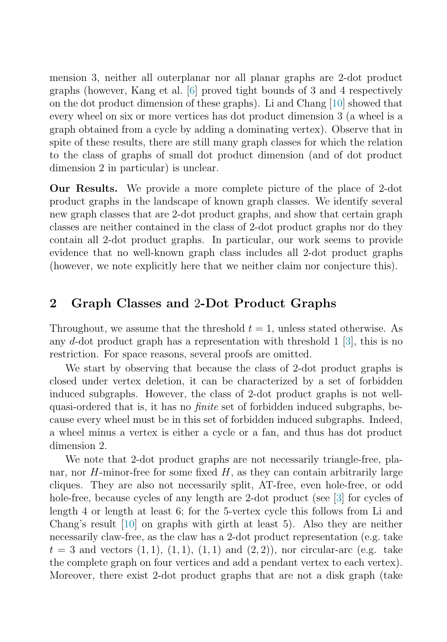mension 3, neither all outerplanar nor all planar graphs are 2-dot product graphs (however, Kang et al. [\[6\]](#page-5-0) proved tight bounds of 3 and 4 respectively on the dot product dimension of these graphs). Li and Chang [\[10\]](#page-6-0) showed that every wheel on six or more vertices has dot product dimension 3 (a wheel is a graph obtained from a cycle by adding a dominating vertex). Observe that in spite of these results, there are still many graph classes for which the relation to the class of graphs of small dot product dimension (and of dot product dimension 2 in particular) is unclear.

**Our Results.** We provide a more complete picture of the place of 2-dot product graphs in the landscape of known graph classes. We identify several new graph classes that are 2-dot product graphs, and show that certain graph classes are neither contained in the class of 2-dot product graphs nor do they contain all 2-dot product graphs. In particular, our work seems to provide evidence that no well-known graph class includes all 2-dot product graphs (however, we note explicitly here that we neither claim nor conjecture this).

## **2 Graph Classes and** 2**-Dot Product Graphs**

Throughout, we assume that the threshold  $t = 1$ , unless stated otherwise. As any d-dot product graph has a representation with threshold  $1 \overline{3}$ , this is no restriction. For space reasons, several proofs are omitted.

We start by observing that because the class of 2-dot product graphs is closed under vertex deletion, it can be characterized by a set of forbidden induced subgraphs. However, the class of 2-dot product graphs is not wellquasi-ordered that is, it has no finite set of forbidden induced subgraphs, because every wheel must be in this set of forbidden induced subgraphs. Indeed, a wheel minus a vertex is either a cycle or a fan, and thus has dot product dimension 2.

We note that 2-dot product graphs are not necessarily triangle-free, planar, nor  $H$ -minor-free for some fixed  $H$ , as they can contain arbitrarily large cliques. They are also not necessarily split, AT-free, even hole-free, or odd hole-free, because cycles of any length are 2-dot product (see [\[3\]](#page-5-0) for cycles of length 4 or length at least 6; for the 5-vertex cycle this follows from Li and Chang's result [\[10\]](#page-6-0) on graphs with girth at least 5). Also they are neither necessarily claw-free, as the claw has a 2-dot product representation (e.g. take  $t = 3$  and vectors  $(1, 1), (1, 1), (1, 1)$  and  $(2, 2)$ , nor circular-arc (e.g. take the complete graph on four vertices and add a pendant vertex to each vertex). Moreover, there exist 2-dot product graphs that are not a disk graph (take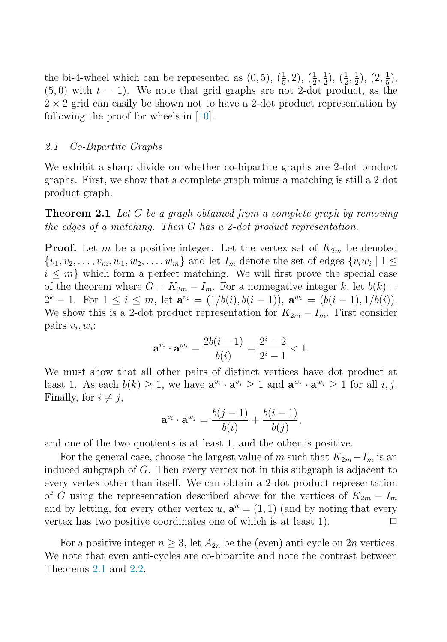the bi-4-wheel which can be represented as  $(0,5)$ ,  $(\frac{1}{5}, 2)$ ,  $(\frac{1}{2}, \frac{1}{2})$ ,  $(\frac{1}{2}, \frac{1}{2})$ ,  $(2, \frac{1}{5})$ ,  $(5,0)$  with  $t=1$ ). We note that grid graphs are not 2-dot product, as the  $2 \times 2$  grid can easily be shown not to have a 2-dot product representation by following the proof for wheels in [\[10\]](#page-6-0).

#### 2.1 Co-Bipartite Graphs

We exhibit a sharp divide on whether co-bipartite graphs are 2-dot product graphs. First, we show that a complete graph minus a matching is still a 2-dot product graph.

**Theorem 2.1** Let G be a graph obtained from a complete graph by removing the edges of a matching. Then G has a 2-dot product representation.

**Proof.** Let m be a positive integer. Let the vertex set of  $K_{2m}$  be denoted  $\{v_1, v_2, \ldots, v_m, w_1, w_2, \ldots, w_m\}$  and let  $I_m$  denote the set of edges  $\{v_i w_i \mid 1 \leq i \leq m\}$  $i \leq m$  which form a perfect matching. We will first prove the special case of the theorem where  $G = K_{2m} - I_m$ . For a nonnegative integer k, let  $b(k) =$  $2^k - 1$ . For  $1 \leq i \leq m$ , let  $\mathbf{a}^{v_i} = (1/b(i), b(i-1)), \mathbf{a}^{w_i} = (b(i-1), 1/b(i)).$ We show this is a 2-dot product representation for  $K_{2m} - I_m$ . First consider pairs  $v_i, w_i$ :

$$
\mathbf{a}^{v_i} \cdot \mathbf{a}^{w_i} = \frac{2b(i-1)}{b(i)} = \frac{2^i - 2}{2^i - 1} < 1.
$$

We must show that all other pairs of distinct vertices have dot product at least 1. As each  $b(k) \geq 1$ , we have  $\mathbf{a}^{v_i} \cdot \mathbf{a}^{v_j} \geq 1$  and  $\mathbf{a}^{w_i} \cdot \mathbf{a}^{w_j} \geq 1$  for all i, j. Finally, for  $i \neq j$ ,

$$
\mathbf{a}^{v_i} \cdot \mathbf{a}^{w_j} = \frac{b(j-1)}{b(i)} + \frac{b(i-1)}{b(j)},
$$

and one of the two quotients is at least 1, and the other is positive.

For the general case, choose the largest value of m such that  $K_{2m} - I_m$  is an induced subgraph of G. Then every vertex not in this subgraph is adjacent to every vertex other than itself. We can obtain a 2-dot product representation of G using the representation described above for the vertices of  $K_{2m} - I_m$ and by letting, for every other vertex u,  $\mathbf{a}^u = (1, 1)$  (and by noting that every vertex has two positive coordinates one of which is at least 1).  $\Box$ 

For a positive integer  $n \geq 3$ , let  $A_{2n}$  be the (even) anti-cycle on 2n vertices. We note that even anti-cycles are co-bipartite and note the contrast between Theorems 2.1 and 2.2.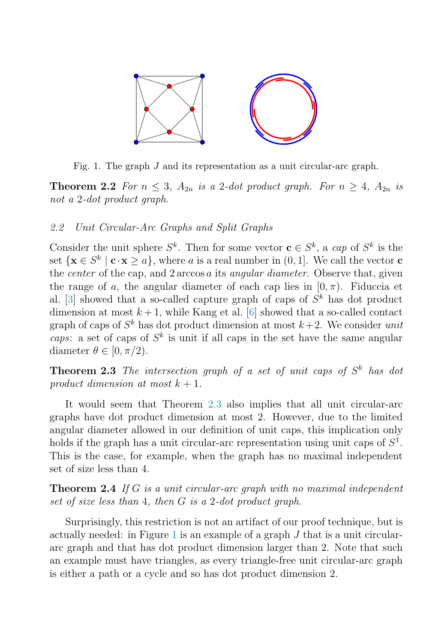

Fig. 1. The graph J and its representation as a unit circular-arc graph.

**Theorem 2.2** For  $n \leq 3$ ,  $A_{2n}$  is a 2-dot product graph. For  $n \geq 4$ ,  $A_{2n}$  is not a 2-dot product graph.

### 2.2 Unit Circular-Arc Graphs and Split Graphs

Consider the unit sphere  $S^k$ . Then for some vector  $\mathbf{c} \in S^k$ , a cap of  $S^k$  is the set  $\{x \in S^k \mid c \cdot x > a\}$ , where a is a real number in  $(0, 1]$ . We call the vector **c** the *center* of the cap, and 2 arccos a its angular diameter. Observe that, given the range of a, the angular diameter of each cap lies in  $[0, \pi)$ . Fiduccia et al. [\[3\]](#page-5-0) showed that a so-called capture graph of caps of  $S<sup>k</sup>$  has dot product dimension at most  $k+1$ , while Kang et al. [\[6\]](#page-5-0) showed that a so-called contact graph of caps of  $S^k$  has dot product dimension at most  $k+2$ . We consider unit caps: a set of caps of  $S^k$  is unit if all caps in the set have the same angular diameter  $\theta \in [0, \pi/2]$ .

**Theorem 2.3** The intersection graph of a set of unit caps of  $S<sup>k</sup>$  has dot product dimension at most  $k + 1$ .

It would seem that Theorem 2.3 also implies that all unit circular-arc graphs have dot product dimension at most 2. However, due to the limited angular diameter allowed in our definition of unit caps, this implication only holds if the graph has a unit circular-arc representation using unit caps of  $S<sup>1</sup>$ . This is the case, for example, when the graph has no maximal independent set of size less than 4.

**Theorem 2.4** If G is a unit circular-arc graph with no maximal independent set of size less than 4, then G is a 2-dot product graph.

Surprisingly, this restriction is not an artifact of our proof technique, but is actually needed: in Figure 1 is an example of a graph  $J$  that is a unit circulararc graph and that has dot product dimension larger than 2. Note that such an example must have triangles, as every triangle-free unit circular-arc graph is either a path or a cycle and so has dot product dimension 2.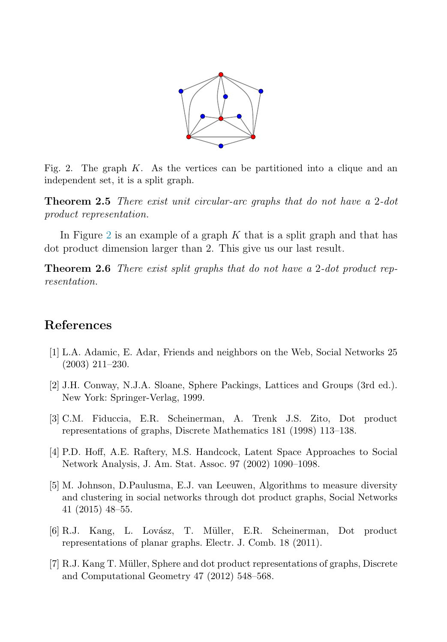

<span id="page-5-0"></span>Fig. 2. The graph  $K$ . As the vertices can be partitioned into a clique and an independent set, it is a split graph.

**Theorem 2.5** There exist unit circular-arc graphs that do not have a 2-dot product representation.

In Figure 2 is an example of a graph  $K$  that is a split graph and that has dot product dimension larger than 2. This give us our last result.

**Theorem 2.6** There exist split graphs that do not have a 2-dot product representation.

## **References**

- [1] L.A. Adamic, E. Adar, Friends and neighbors on the Web, Social Networks 25 (2003) 211–230.
- [2] J.H. Conway, N.J.A. Sloane, Sphere Packings, Lattices and Groups (3rd ed.). New York: Springer-Verlag, 1999.
- [3] C.M. Fiduccia, E.R. Scheinerman, A. Trenk J.S. Zito, Dot product representations of graphs, Discrete Mathematics 181 (1998) 113–138.
- [4] P.D. Hoff, A.E. Raftery, M.S. Handcock, Latent Space Approaches to Social Network Analysis, J. Am. Stat. Assoc. 97 (2002) 1090–1098.
- [5] M. Johnson, D.Paulusma, E.J. van Leeuwen, Algorithms to measure diversity and clustering in social networks through dot product graphs, Social Networks 41 (2015) 48–55.
- [6] R.J. Kang, L. Lov´asz, T. M¨uller, E.R. Scheinerman, Dot product representations of planar graphs. Electr. J. Comb. 18 (2011).
- [7] R.J. Kang T. Müller, Sphere and dot product representations of graphs, Discrete and Computational Geometry 47 (2012) 548–568.